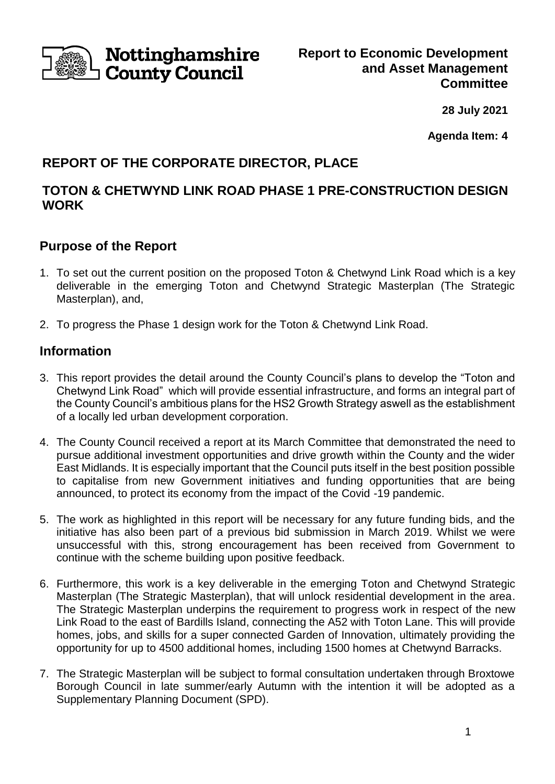

**28 July 2021**

**Agenda Item: 4**

# **REPORT OF THE CORPORATE DIRECTOR, PLACE**

## **TOTON & CHETWYND LINK ROAD PHASE 1 PRE-CONSTRUCTION DESIGN WORK**

### **Purpose of the Report**

- 1. To set out the current position on the proposed Toton & Chetwynd Link Road which is a key deliverable in the emerging Toton and Chetwynd Strategic Masterplan (The Strategic Masterplan), and,
- 2. To progress the Phase 1 design work for the Toton & Chetwynd Link Road.

## **Information**

- 3. This report provides the detail around the County Council's plans to develop the "Toton and Chetwynd Link Road" which will provide essential infrastructure, and forms an integral part of the County Council's ambitious plans for the HS2 Growth Strategy aswell as the establishment of a locally led urban development corporation.
- 4. The County Council received a report at its March Committee that demonstrated the need to pursue additional investment opportunities and drive growth within the County and the wider East Midlands. It is especially important that the Council puts itself in the best position possible to capitalise from new Government initiatives and funding opportunities that are being announced, to protect its economy from the impact of the Covid -19 pandemic.
- 5. The work as highlighted in this report will be necessary for any future funding bids, and the initiative has also been part of a previous bid submission in March 2019. Whilst we were unsuccessful with this, strong encouragement has been received from Government to continue with the scheme building upon positive feedback.
- 6. Furthermore, this work is a key deliverable in the emerging Toton and Chetwynd Strategic Masterplan (The Strategic Masterplan), that will unlock residential development in the area. The Strategic Masterplan underpins the requirement to progress work in respect of the new Link Road to the east of Bardills Island, connecting the A52 with Toton Lane. This will provide homes, jobs, and skills for a super connected Garden of Innovation, ultimately providing the opportunity for up to 4500 additional homes, including 1500 homes at Chetwynd Barracks.
- 7. The Strategic Masterplan will be subject to formal consultation undertaken through Broxtowe Borough Council in late summer/early Autumn with the intention it will be adopted as a Supplementary Planning Document (SPD).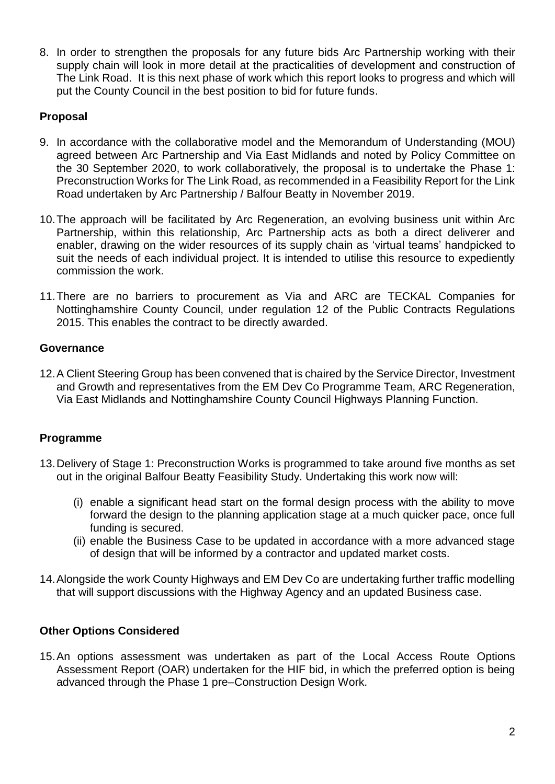8. In order to strengthen the proposals for any future bids Arc Partnership working with their supply chain will look in more detail at the practicalities of development and construction of The Link Road. It is this next phase of work which this report looks to progress and which will put the County Council in the best position to bid for future funds.

### **Proposal**

- 9. In accordance with the collaborative model and the Memorandum of Understanding (MOU) agreed between Arc Partnership and Via East Midlands and noted by Policy Committee on the 30 September 2020, to work collaboratively, the proposal is to undertake the Phase 1: Preconstruction Works for The Link Road, as recommended in a Feasibility Report for the Link Road undertaken by Arc Partnership / Balfour Beatty in November 2019.
- 10.The approach will be facilitated by Arc Regeneration, an evolving business unit within Arc Partnership, within this relationship, Arc Partnership acts as both a direct deliverer and enabler, drawing on the wider resources of its supply chain as 'virtual teams' handpicked to suit the needs of each individual project. It is intended to utilise this resource to expediently commission the work.
- 11.There are no barriers to procurement as Via and ARC are TECKAL Companies for Nottinghamshire County Council, under regulation 12 of the Public Contracts Regulations 2015. This enables the contract to be directly awarded.

### **Governance**

12.A Client Steering Group has been convened that is chaired by the Service Director, Investment and Growth and representatives from the EM Dev Co Programme Team, ARC Regeneration, Via East Midlands and Nottinghamshire County Council Highways Planning Function.

### **Programme**

- 13.Delivery of Stage 1: Preconstruction Works is programmed to take around five months as set out in the original Balfour Beatty Feasibility Study. Undertaking this work now will:
	- (i) enable a significant head start on the formal design process with the ability to move forward the design to the planning application stage at a much quicker pace, once full funding is secured.
	- (ii) enable the Business Case to be updated in accordance with a more advanced stage of design that will be informed by a contractor and updated market costs.
- 14.Alongside the work County Highways and EM Dev Co are undertaking further traffic modelling that will support discussions with the Highway Agency and an updated Business case.

### **Other Options Considered**

15.An options assessment was undertaken as part of the Local Access Route Options Assessment Report (OAR) undertaken for the HIF bid, in which the preferred option is being advanced through the Phase 1 pre–Construction Design Work.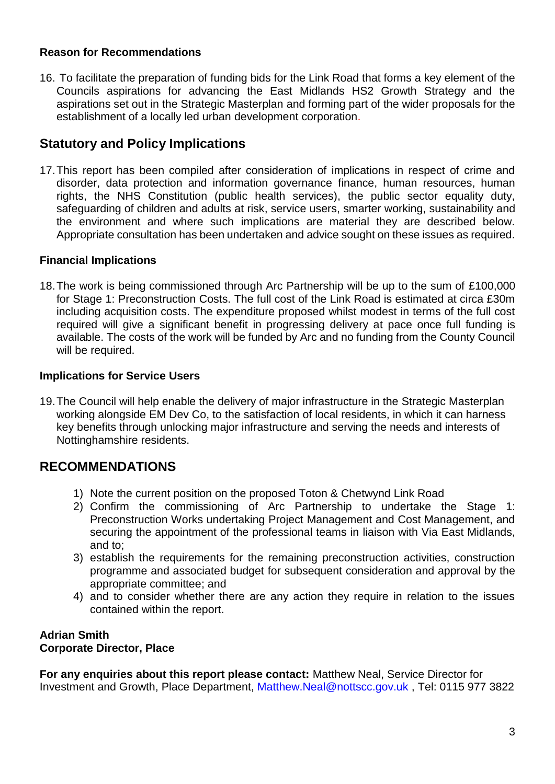#### **Reason for Recommendations**

16. To facilitate the preparation of funding bids for the Link Road that forms a key element of the Councils aspirations for advancing the East Midlands HS2 Growth Strategy and the aspirations set out in the Strategic Masterplan and forming part of the wider proposals for the establishment of a locally led urban development corporation.

### **Statutory and Policy Implications**

17.This report has been compiled after consideration of implications in respect of crime and disorder, data protection and information governance finance, human resources, human rights, the NHS Constitution (public health services), the public sector equality duty, safeguarding of children and adults at risk, service users, smarter working, sustainability and the environment and where such implications are material they are described below. Appropriate consultation has been undertaken and advice sought on these issues as required.

### **Financial Implications**

18.The work is being commissioned through Arc Partnership will be up to the sum of £100,000 for Stage 1: Preconstruction Costs. The full cost of the Link Road is estimated at circa £30m including acquisition costs. The expenditure proposed whilst modest in terms of the full cost required will give a significant benefit in progressing delivery at pace once full funding is available. The costs of the work will be funded by Arc and no funding from the County Council will be required.

### **Implications for Service Users**

19.The Council will help enable the delivery of major infrastructure in the Strategic Masterplan working alongside EM Dev Co, to the satisfaction of local residents, in which it can harness key benefits through unlocking major infrastructure and serving the needs and interests of Nottinghamshire residents.

### **RECOMMENDATIONS**

- 1) Note the current position on the proposed Toton & Chetwynd Link Road
- 2) Confirm the commissioning of Arc Partnership to undertake the Stage 1: Preconstruction Works undertaking Project Management and Cost Management, and securing the appointment of the professional teams in liaison with Via East Midlands, and to;
- 3) establish the requirements for the remaining preconstruction activities, construction programme and associated budget for subsequent consideration and approval by the appropriate committee; and
- 4) and to consider whether there are any action they require in relation to the issues contained within the report.

#### **Adrian Smith Corporate Director, Place**

**For any enquiries about this report please contact:** Matthew Neal, Service Director for Investment and Growth, Place Department, Matthew.Neal@nottscc.gov.uk , Tel: 0115 977 3822